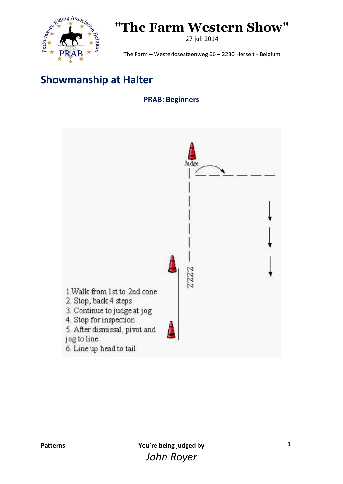

27 juli 2014

The Farm – Westerlosesteenweg 66 – 2230 Herselt - Belgium

### **Showmanship at Halter**

#### **PRAB: Beginners**

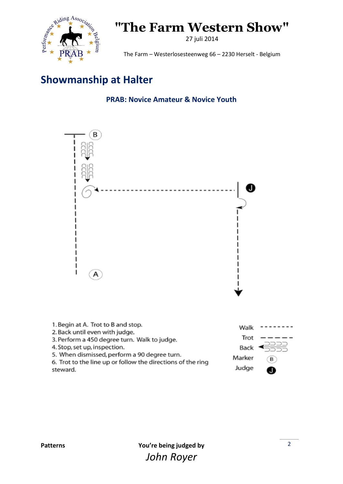

27 juli 2014

The Farm – Westerlosesteenweg 66 – 2230 Herselt - Belgium

### **Showmanship at Halter**

**PRAB: Novice Amateur & Novice Youth**



1. Begin at A. Trot to B and stop. Walk 2. Back until even with judge. Trot 3. Perform a 450 degree turn. Walk to judge. 4. Stop, set up, inspection. Back 5. When dismissed, perform a 90 degree turn. Marker B 6. Trot to the line up or follow the directions of the ring Judge

steward.

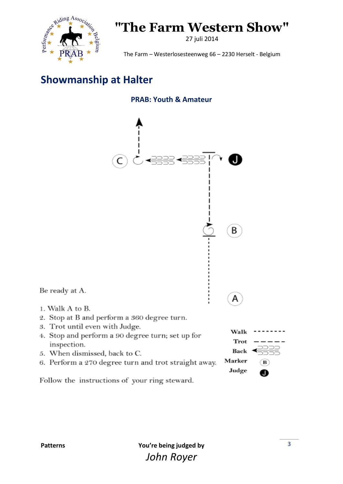

27 juli 2014

The Farm – Westerlosesteenweg 66 – 2230 Herselt - Belgium

### **Showmanship at Halter**





6. Perform a 270 degree turn and trot straight away.

Follow the instructions of your ring steward.

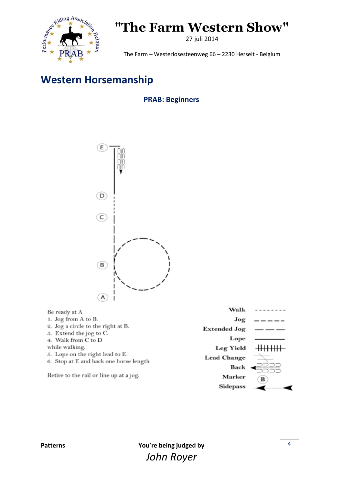

27 juli 2014

The Farm – Westerlosesteenweg 66 – 2230 Herselt - Belgium

### **Western Horsemanship**

#### **PRAB: Beginners**



| Be ready at A                                                             | Walk               |   |
|---------------------------------------------------------------------------|--------------------|---|
| 1. Jog from A to B.                                                       | Jog                |   |
| 2. Jog a circle to the right at B.                                        | Extended Jog       |   |
| 5. Extend the jog to C.<br>4. Walk from C to D                            | Lope               |   |
| while walking.                                                            | <b>Leg Yield</b>   |   |
| 5. Lope on the right lead to E.<br>6. Stop at E and back one horse length | <b>Lead Change</b> |   |
|                                                                           | Back               |   |
| Retire to the rail or line up at a jog.                                   | Marker             | в |
|                                                                           | Sidepass           |   |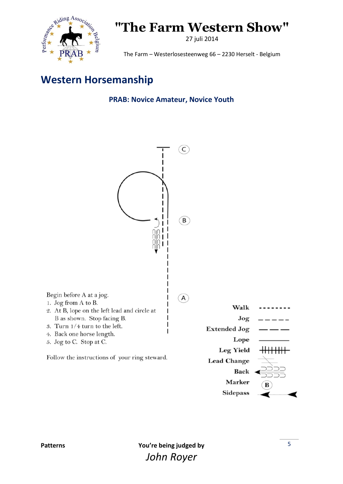

27 juli 2014

The Farm – Westerlosesteenweg 66 – 2230 Herselt - Belgium

#### **Western Horsemanship**

#### **PRAB: Novice Amateur, Novice Youth**

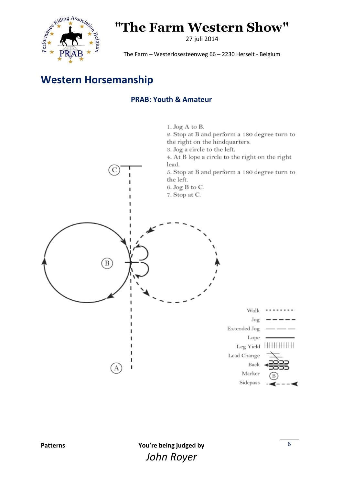

27 juli 2014

The Farm – Westerlosesteenweg 66 – 2230 Herselt - Belgium

### **Western Horsemanship**

#### **PRAB: Youth & Amateur**

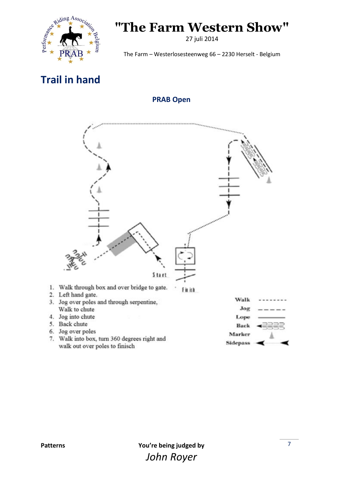

27 juli 2014

The Farm – Westerlosesteenweg 66 – 2230 Herselt - Belgium

### **Trail in hand**

#### **PRAB Open**



7. Walk into box, turn 360 degrees right and walk out over poles to finisch

**Sidepass**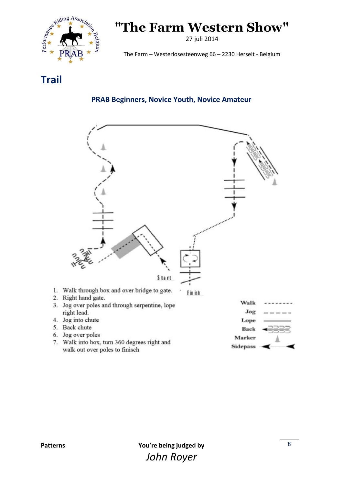

27 juli 2014

The Farm – Westerlosesteenweg 66 – 2230 Herselt - Belgium

**Trail**

#### **PRAB Beginners, Novice Youth, Novice Amateur**

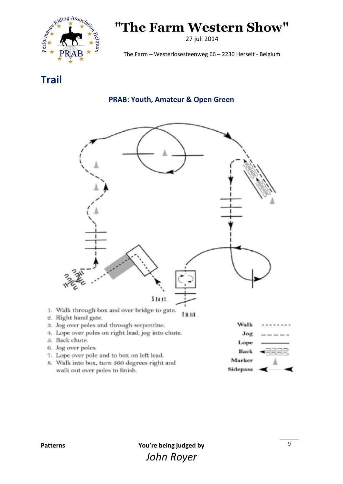

27 juli 2014

The Farm – Westerlosesteenweg 66 – 2230 Herselt - Belgium

**Trail**

#### **PRAB: Youth, Amateur & Open Green**



8. Walk into box, turn 360 degrees right and walk out over poles to finish.

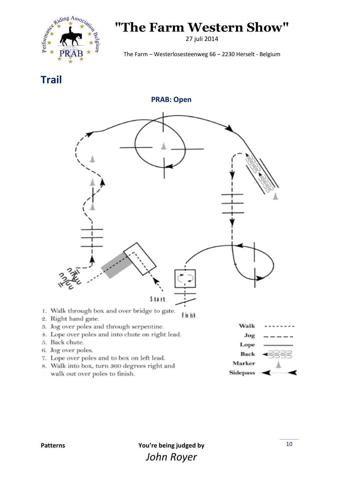

27 juli 2014

The Farm – Westerlosesteenweg 66 – 2230 Herselt - Belgium

**Trail**

**PRAB: Open**



8. Walk into box, turn 360 degrees right and walk out over poles to finish.

Marker **Sidepass**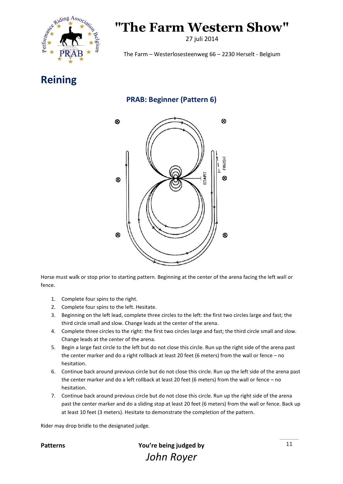

27 juli 2014

The Farm – Westerlosesteenweg 66 – 2230 Herselt - Belgium

**Reining**

#### **PRAB: Beginner (Pattern 6)**



Horse must walk or stop prior to starting pattern. Beginning at the center of the arena facing the left wall or fence.

- 1. Complete four spins to the right.
- 2. Complete four spins to the left. Hesitate.
- 3. Beginning on the left lead, complete three circles to the left: the first two circles large and fast; the third circle small and slow. Change leads at the center of the arena.
- 4. Complete three circles to the right: the first two circles large and fast; the third circle small and slow. Change leads at the center of the arena.
- 5. Begin a large fast circle to the left but do not close this circle. Run up the right side of the arena past the center marker and do a right rollback at least 20 feet (6 meters) from the wall or fence – no hesitation.
- 6. Continue back around previous circle but do not close this circle. Run up the left side of the arena past the center marker and do a left rollback at least 20 feet (6 meters) from the wall or fence – no hesitation.
- 7. Continue back around previous circle but do not close this circle. Run up the right side of the arena past the center marker and do a sliding stop at least 20 feet (6 meters) from the wall or fence. Back up at least 10 feet (3 meters). Hesitate to demonstrate the completion of the pattern.

Rider may drop bridle to the designated judge.

**Patterns You're being judged by** *John Royer*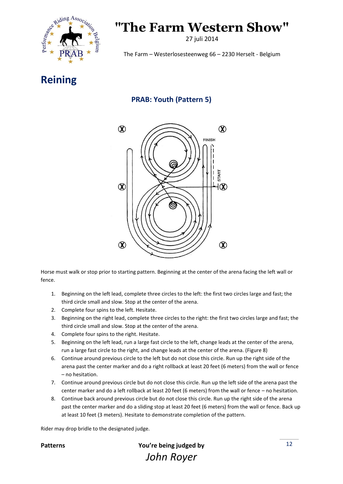

27 juli 2014

The Farm – Westerlosesteenweg 66 – 2230 Herselt - Belgium

#### **Reining**

#### **PRAB: Youth (Pattern 5)**



Horse must walk or stop prior to starting pattern. Beginning at the center of the arena facing the left wall or fence.

- 1. Beginning on the left lead, complete three circles to the left: the first two circles large and fast; the third circle small and slow. Stop at the center of the arena.
- 2. Complete four spins to the left. Hesitate.
- 3. Beginning on the right lead, complete three circles to the right: the first two circles large and fast; the third circle small and slow. Stop at the center of the arena.
- 4. Complete four spins to the right. Hesitate.
- 5. Beginning on the left lead, run a large fast circle to the left, change leads at the center of the arena, run a large fast circle to the right, and change leads at the center of the arena. (Figure 8)
- 6. Continue around previous circle to the left but do not close this circle. Run up the right side of the arena past the center marker and do a right rollback at least 20 feet (6 meters) from the wall or fence – no hesitation.
- 7. Continue around previous circle but do not close this circle. Run up the left side of the arena past the center marker and do a left rollback at least 20 feet (6 meters) from the wall or fence – no hesitation.
- 8. Continue back around previous circle but do not close this circle. Run up the right side of the arena past the center marker and do a sliding stop at least 20 feet (6 meters) from the wall or fence. Back up at least 10 feet (3 meters). Hesitate to demonstrate completion of the pattern.

Rider may drop bridle to the designated judge.



**Patterns You're being judged by** *John Royer*